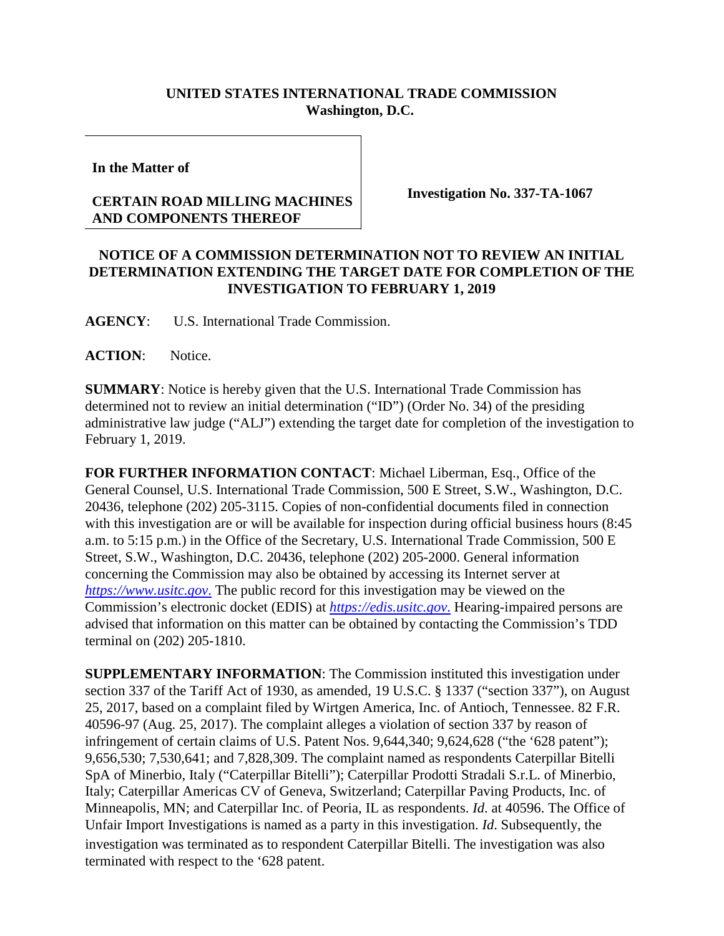## **UNITED STATES INTERNATIONAL TRADE COMMISSION Washington, D.C.**

**In the Matter of**

## **CERTAIN ROAD MILLING MACHINES AND COMPONENTS THEREOF**

**Investigation No. 337-TA-1067**

## **NOTICE OF A COMMISSION DETERMINATION NOT TO REVIEW AN INITIAL DETERMINATION EXTENDING THE TARGET DATE FOR COMPLETION OF THE INVESTIGATION TO FEBRUARY 1, 2019**

**AGENCY**: U.S. International Trade Commission.

ACTION: Notice.

**SUMMARY**: Notice is hereby given that the U.S. International Trade Commission has determined not to review an initial determination ("ID") (Order No. 34) of the presiding administrative law judge ("ALJ") extending the target date for completion of the investigation to February 1, 2019.

**FOR FURTHER INFORMATION CONTACT**: Michael Liberman, Esq., Office of the General Counsel, U.S. International Trade Commission, 500 E Street, S.W., Washington, D.C. 20436, telephone (202) 205-3115. Copies of non-confidential documents filed in connection with this investigation are or will be available for inspection during official business hours (8:45) a.m. to 5:15 p.m.) in the Office of the Secretary, U.S. International Trade Commission, 500 E Street, S.W., Washington, D.C. 20436, telephone (202) 205-2000. General information concerning the Commission may also be obtained by accessing its Internet server at *[https://www.usitc.gov](https://www.usitc.gov./)*. The public record for this investigation may be viewed on the Commission's electronic docket (EDIS) at *[https://edis.usitc.gov](https://edis.usitc.gov./)*. Hearing-impaired persons are advised that information on this matter can be obtained by contacting the Commission's TDD terminal on (202) 205-1810.

**SUPPLEMENTARY INFORMATION**: The Commission instituted this investigation under section 337 of the Tariff Act of 1930, as amended, 19 U.S.C. § 1337 ("section 337"), on August 25, 2017, based on a complaint filed by Wirtgen America, Inc. of Antioch, Tennessee. 82 F.R. 40596-97 (Aug. 25, 2017). The complaint alleges a violation of section 337 by reason of infringement of certain claims of U.S. Patent Nos. 9,644,340; 9,624,628 ("the '628 patent"); 9,656,530; 7,530,641; and 7,828,309. The complaint named as respondents Caterpillar Bitelli SpA of Minerbio, Italy ("Caterpillar Bitelli"); Caterpillar Prodotti Stradali S.r.L. of Minerbio, Italy; Caterpillar Americas CV of Geneva, Switzerland; Caterpillar Paving Products, Inc. of Minneapolis, MN; and Caterpillar Inc. of Peoria, IL as respondents. *Id*. at 40596. The Office of Unfair Import Investigations is named as a party in this investigation. *Id*. Subsequently, the investigation was terminated as to respondent Caterpillar Bitelli. The investigation was also terminated with respect to the '628 patent.